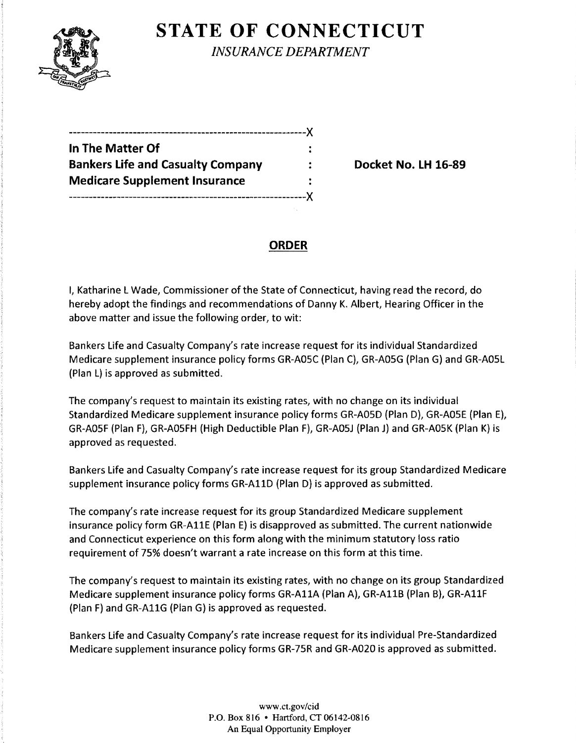

**STATE OF CONNECTICUT** 

*INSURANCE DEPARTMENT* 

| In The Matter Of                         |  |
|------------------------------------------|--|
| <b>Bankers Life and Casualty Company</b> |  |
| <b>Medicare Supplement Insurance</b>     |  |
|                                          |  |

**Backet No. LH 16-89** 

#### **ORDER**

I, Katharine L Wade, Commissioner of the State of Connecticut, having read the record, do hereby adopt the findings and recommendations of Danny K. Albert, Hearing Officer in the above matter and issue the following order, to wit:

Bankers Life and Casualty Company's rate increase request for its individual Standardized Medicare supplement insurance policy forms GR-AOSC (Plan C), GR-AOSG (Plan G) and GR-AOSL (Plan L) is approved as submitted.

The company's request to maintain its existing rates, with no change on its individual Standardized Medicare supplement insurance policy forms GR-AOSD (Plan D), GR-AOSE (Plan E), GR-AO5F (Plan F), GR-AO5FH (High Deductible Plan F), GR-AO5J (Plan J) and GR-AO5K (Plan K) is approved as requested.

Bankers Life and Casualty Company's rate increase request for its group Standardized Medicare supplement insurance policy forms GR-AllD (Plan D) is approved as submitted.

The company's rate increase request for its group Standardized Medicare supplement insurance policy form GR-AllE (Plan E) is disapproved as submitted. The current nationwide and Connecticut experience on this form along with the minimum statutory loss ratio requirement of 75% doesn't warrant a rate increase on this form at this time.

The company's request to maintain its existing rates, with no change on its group Standardized Medicare supplement insurance policy forms GR-AllA {Plan A), GR-AllB {Plan B), GR-AllF (Plan F) and GR-AllG (Plan G) is approved as requested.

Bankers Life and Casualty Company's rate increase request for its individual Pre-Standardized Medicare supplement insurance policy forms GR-75R and GR-A020 is approved as submitted.

> www.ct.gov/cid P.O. Box 816 • Hartford, CT 06142-0816 An Equal Opportunity Employer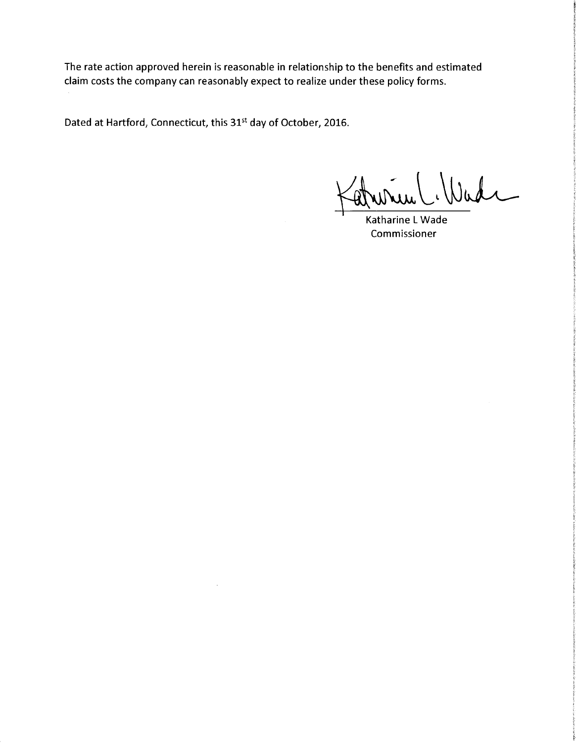The rate action approved herein is reasonable in relationship to the benefits and estimated claim costs the company can reasonably expect to realize under these policy forms.

Dated at Hartford, Connecticut, this 31<sup>st</sup> day of October, 2016.

atrin C. Wade

Katharine L Wade Commissioner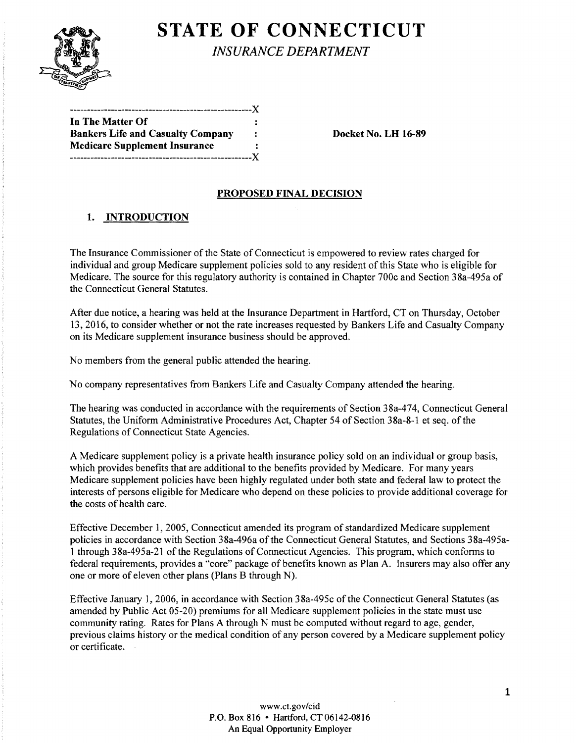

# **STATE OF CONNECTICUT**

*INSURANCE DEPARTMENT* 

-----------------------------------------------------){ In The Matter Of Bankers Life and Casualty Company : Docket No. LH 16-89 Medicare Supplement Insurance -----------------------------------------------------){

#### PROPOSED FINAL DECISION

## 1. INTRODUCTION

The Insurance Commissioner of the State of Connecticut is empowered to review rates charged for individual and group Medicare supplement policies sold to any resident of this State who is eligible for Medicare. The source for this regulatory authority is contained in Chapter 700c and Section 38a-495a of the Connecticut General Statutes.

After due notice, a hearing was held at the Insurance Department in Hartford, CT on Thursday, October 13, 2016, to consider whether or not the rate increases requested by Bankers Life and Casualty Company on its Medicare supplement insurance business should be approved.

No members from the general public attended the hearing.

No company representatives from Bankers Life and Casualty Company attended the hearing.

The hearing was conducted in accordance with the requirements of Section 38a-474, Connecticut General Statutes, the Uniform Administrative Procedures Act, Chapter 54 of Section 38a-8-1 et seq. of the Regulations of Connecticut State Agencies.

A Medicare supplement policy is a private health insurance policy sold on an individual or group basis, which provides benefits that are additional to the benefits provided by Medicare. For many years Medicare supplement policies have been highly regulated under both state and federal law to protect the interests of persons eligible for Medicare who depend on these policies to provide additional coverage for the costs of health care.

Effective December 1, 2005, Connecticut amended its program of standardized Medicare supplement policies in accordance with Section 38a-496a of the Connecticut General Statutes, and Sections 38a-495a-1 through 38a-495a-21 of the Regulations of Connecticut Agencies. This program, which conforms to federal requirements, provides a "core" package of benefits known as Plan A. Insurers may also offer any one or more of eleven other plans (Plans B through N).

Effective January 1, 2006, in accordance with Section 38a-495c of the Connecticut General Statutes (as amended by Public Act 05-20) premiums for all Medicare supplement policies in the state must use community rating. Rates for Plans A through N must be computed without regard to age, gender, previous claims history or the medical condition of any person covered by a Medicare supplement policy or certificate.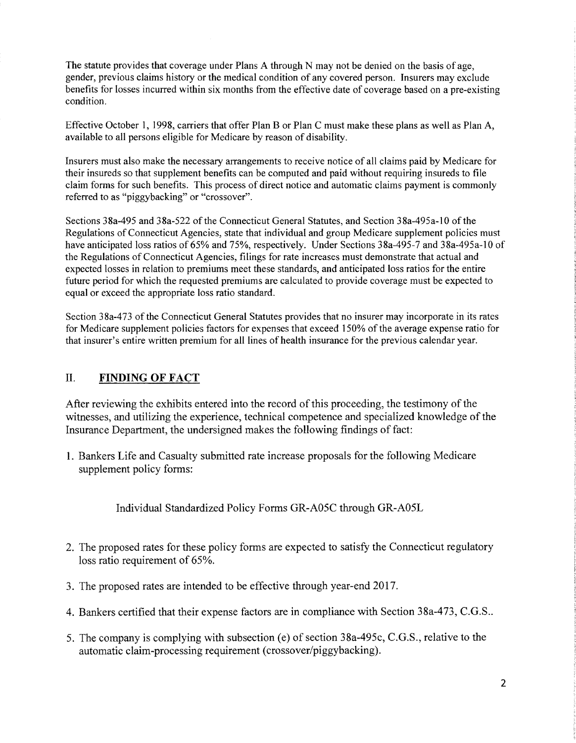The statute provides that coverage under Plans A through N may not be denied on the basis of age, gender, previous claims history or the medical condition of any covered person. Insurers may exclude benefits for losses incurred within six months from the effective date of coverage based on a pre-existing condition.

Effective October I, 1998, carriers that offer Plan B or Plan C must make these plans as well as Plan A, available to all persons eligible for Medicare by reason of disability.

Insurers must also make the necessary arrangements to receive notice of all claims paid by Medicare for their insureds so that supplement benefits can be computed and paid without requiring insureds to file claim forms for such benefits. This process of direct notice and automatic claims payment is commonly referred to as "piggybacking" or "crossover".

Sections 38a-495 and 38a-522 of the Connecticut General Statutes, and Section 38a-495a-10 of the Regulations of Connecticut Agencies, state that individual and group Medicare supplement policies must have anticipated loss ratios of 65% and 75%, respectively. Under Sections 38a-495-7 and 38a-495a-10 of the Regulations of Connecticut Agencies, filings for rate increases must demonstrate that actual and expected losses in relation to premiums meet these standards, and anticipated loss ratios for the entire future period for which the requested premiums are calculated to provide coverage must be expected to equal or exceed the appropriate loss ratio standard.

Section 38a-473 of the Connecticut General Statutes provides that no insurer may incorporate in its rates for Medicare supplement policies factors for expenses that exceed 150% of the average expense ratio for that insurer's entire written premium for all lines of health insurance for the previous calendar year.

#### II. **FINDING OF FACT**

After reviewing the exhibits entered into the record of this proceeding, the testimony of the witnesses, and utilizing the experience, technical competence and specialized knowledge of the Insurance Department, the undersigned makes the following findings of fact:

1. Bankers Life and Casualty submitted rate increase proposals for the following Medicare supplement policy forms:

Individual Standardized Policy Forms GR-A05C through GR-A05L

- 2. The proposed rates for these policy forms are expected to satisfy the Connecticut regulatory loss ratio requirement of 65%.
- 3. The proposed rates are intended to be effective through year-end 2017.
- 4. Bankers certified that their expense factors are in compliance with Section 38a-473, C.G.S ..
- 5. The company is complying with subsection (e) of section 38a-495c, C.G.S., relative to the automatic claim-processing requirement (crossover/piggybacking).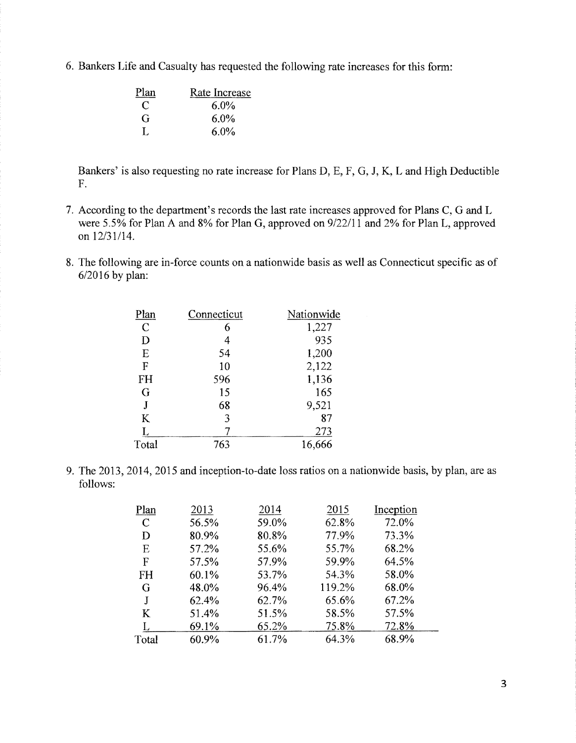6. Bankers Life and Casualty has requested the following rate increases for this form:

| Plan | Rate Increase |
|------|---------------|
| €    | $6.0\%$       |
| G    | $6.0\%$       |
| L    | $6.0\%$       |

Bankers' is also requesting no rate increase for Plans D, F, G, J, K, Land High Deductible F.

- 7. According to the department's records the last rate increases approved for Plans C, G and L were 5.5% for Plan A and 8% for Plan G, approved on 9/22/11 and 2% for Plan L, approved on 12/31/14.
- 8. The following are in-force counts on a nationwide basis as well as Connecticut specific as of 6/2016 by plan:

| Plan          | Connecticut | Nationwide |
|---------------|-------------|------------|
| $\mathcal{C}$ | 6           | 1,227      |
| D             | 4           | 935        |
| E             | 54          | 1,200      |
| F             | 10          | 2,122      |
| FH            | 596         | 1,136      |
| G             | 15          | 165        |
| J             | 68          | 9,521      |
| K             | 3           | 87         |
|               |             | 273        |
| Total         | 763         | 16,666     |

9. The 2013, 2014, 2015 and inception-to-date loss ratios on a nationwide basis, by plan, are as follows:

| Plan          | 2013  | 2014  | 2015   | Inception |
|---------------|-------|-------|--------|-----------|
| $\mathcal{C}$ | 56.5% | 59.0% | 62.8%  | 72.0%     |
| D             | 80.9% | 80.8% | 77.9%  | 73.3%     |
| E             | 57.2% | 55.6% | 55.7%  | 68.2%     |
| F             | 57.5% | 57.9% | 59.9%  | 64.5%     |
| <b>FH</b>     | 60.1% | 53.7% | 54.3%  | 58.0%     |
| G             | 48.0% | 96.4% | 119.2% | 68.0%     |
| J             | 62.4% | 62.7% | 65.6%  | 67.2%     |
| K             | 51.4% | 51.5% | 58.5%  | 57.5%     |
|               | 69.1% | 65.2% | 75.8%  | 72.8%     |
| Total         | 60.9% | 61.7% | 64.3%  | 68.9%     |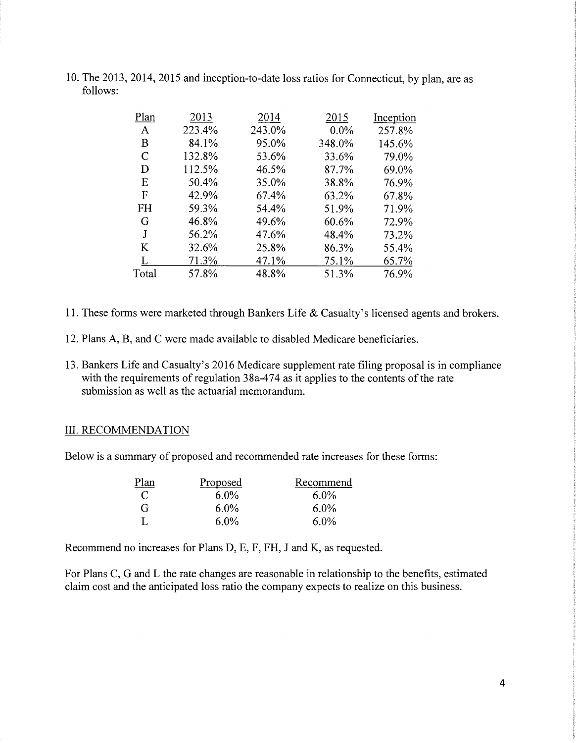| Plan      | 2013   | 2014   | 2015    | Inception |
|-----------|--------|--------|---------|-----------|
| A         | 223.4% | 243.0% | $0.0\%$ | 257.8%    |
| B         | 84.1%  | 95.0%  | 348.0%  | 145.6%    |
| C         | 132.8% | 53.6%  | 33.6%   | 79.0%     |
| D         | 112.5% | 46.5%  | 87.7%   | 69.0%     |
| E         | 50.4%  | 35.0%  | 38.8%   | 76.9%     |
| F         | 42.9%  | 67.4%  | 63.2%   | 67.8%     |
| <b>FH</b> | 59.3%  | 54.4%  | 51.9%   | 71.9%     |
| G         | 46.8%  | 49.6%  | 60.6%   | 72.9%     |
| J         | 56.2%  | 47.6%  | 48.4%   | 73.2%     |
| K         | 32.6%  | 25.8%  | 86.3%   | 55.4%     |
|           | 71.3%  | 47.1%  | 75.1%   | 65.7%     |
| Total     | 57.8%  | 48.8%  | 51.3%   | 76.9%     |
|           |        |        |         |           |

10. The 2013, 2014,2015 and inception-to-date loss ratios for Connecticut, by plan, are as follows:

- 11. These forms were marketed through Bankers Life & Casualty's licensed agents and brokers.
- 12. Plans A, B, and C were made available to disabled Medicare beneficiaries.
- 13. Bankers Life and Casualty's 2016 Medicare supplement rate filing proposal is in compliance with the requirements of regulation  $38a-474$  as it applies to the contents of the rate submission as well as the actuarial memorandum.

#### III. RECOMMENDATION

Below is a summary of proposed and recommended rate increases for these forms:

| Plan | Proposed | Recommend |
|------|----------|-----------|
| C    | $6.0\%$  | $6.0\%$   |
| G    | $6.0\%$  | $6.0\%$   |
|      | $6.0\%$  | 6.0%      |

Recommend no increases for Plans D, E, F, FH, J and K, as requested.

For Plans C, G and L the rate changes are reasonable in relationship to the benefits, estimated claim cost and the anticipated loss ratio the company expects to realize on this business.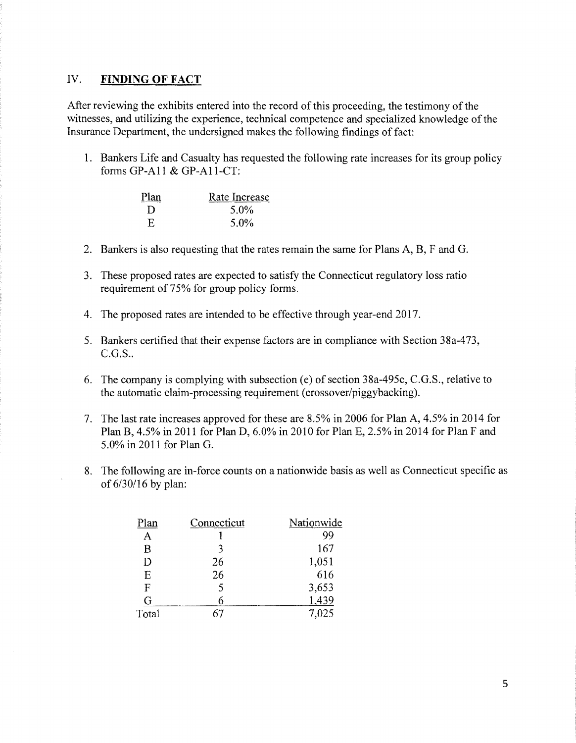#### IV. **FINDING OF FACT**

After reviewing the exhibits entered into the record of this proceeding, the testimony of the witnesses, and utilizing the experience, technical competence and specialized knowledge of the Insurance Department, the undersigned makes the following findings of fact:

1. Bankers Life and Casualty has requested the following rate increases for its group policy forms GP-All & GP-A11-CT:

| Plan | Rate Increase |
|------|---------------|
| Ð    | 5.0%          |
| E    | $5.0\%$       |

- 2. Bankers is also requesting that the rates remain the same for Plans A, B, F and G.
- 3. These proposed rates are expected to satisfy the Connecticut regulatory loss ratio requirement of 75% for group policy forms.
- 4. The proposed rates are intended to be effective through year-end 2017.
- 5. Bankers certified that their expense factors are in compliance with Section 38a-473, C.G.S..
- 6. The company is complying with subsection (e) of section 38a-495c, C.G.S., relative to the automatic claim-processing requirement (crossover/piggybacking).
- 7. The last rate increases approved for these are 8.5% in 2006 for Plan A, 4.5% in 2014 for Plan B, 4.5% in 2011 for Plan D, 6.0% in 2010 for Plan 2.5% in 2014 for Plan F and 5.0% in 2011 for Plan G.
- 8. The following are in-force counts on a nationwide basis as well as Connecticut specific as of 6/30/16 by plan:

| Plan  | Connecticut | Nationwide |
|-------|-------------|------------|
| А     |             | 99         |
| В     | 3           | 167        |
| D     | 26          | 1,051      |
| E     | 26          | 616        |
| F     | 5           | 3,653      |
| G     |             | 1,439      |
| Total |             | 7,025      |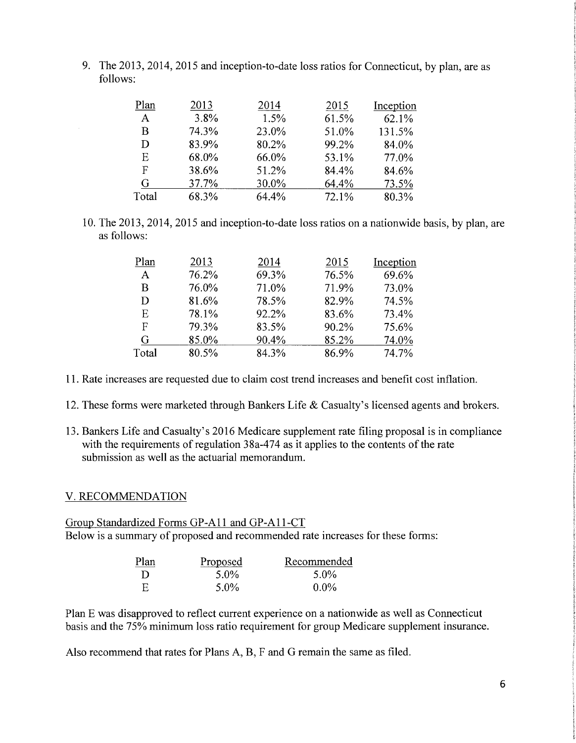9. The 2013, 2014, 2015 and inception-to-date loss ratios for Connecticut, by plan, are as follows:

| Plan         | 2013  | 2014  | 2015  | Inception |
|--------------|-------|-------|-------|-----------|
| $\mathbf{A}$ | 3.8%  | 1.5%  | 61.5% | 62.1%     |
| B            | 74.3% | 23.0% | 51.0% | 131.5%    |
| D            | 83.9% | 80.2% | 99.2% | 84.0%     |
| Ε            | 68.0% | 66.0% | 53.1% | 77.0%     |
| F            | 38.6% | 51.2% | 84.4% | 84.6%     |
| G            | 37.7% | 30.0% | 64.4% | 73.5%     |
| Total        | 68.3% | 64.4% | 72.1% | 80.3%     |

10. The 2013,2014,2015 and inception-to-date loss ratios on a nationwide basis, by plan, are as follows:

| Plan  | 2013  | 2014  | 2015  | Inception |
|-------|-------|-------|-------|-----------|
| A     | 76.2% | 69.3% | 76.5% | 69.6%     |
| В     | 76.0% | 71.0% | 71.9% | 73.0%     |
| D     | 81.6% | 78.5% | 82.9% | 74.5%     |
| E     | 78.1% | 92.2% | 83.6% | 73.4%     |
| F     | 79.3% | 83.5% | 90.2% | 75.6%     |
| G     | 85.0% | 90.4% | 85.2% | 74.0%     |
| Total | 80.5% | 84.3% | 86.9% | 74.7%     |

11. Rate increases are requested due to claim cost trend increases and benefit cost inflation.

- 12. These forms were marketed through Bankers Life & Casualty's licensed agents and brokers.
- 13. Bankers Life and Casualty's 2016 Medicare supplement rate filing proposal is in compliance with the requirements of regulation  $38a-474$  as it applies to the contents of the rate submission as well as the actuarial memorandum.

#### V. RECOMMENDATION

## Group Standardized Forms GP-A11 and GP-A11-CT Below is a summary of proposed and recommended rate increases for these forms:

| Plan | Proposed | Recommended |
|------|----------|-------------|
| Ð    | 5.0%     | 5.0%        |
| - F. | $5.0\%$  | $0.0\%$     |

Plan E was disapproved to reflect current experience on a nationwide as well as Connecticut basis and the 75% minimum loss ratio requirement for group Medicare supplement insurance.

Also recommend that rates for Plans A, B, F and G remain the same as filed.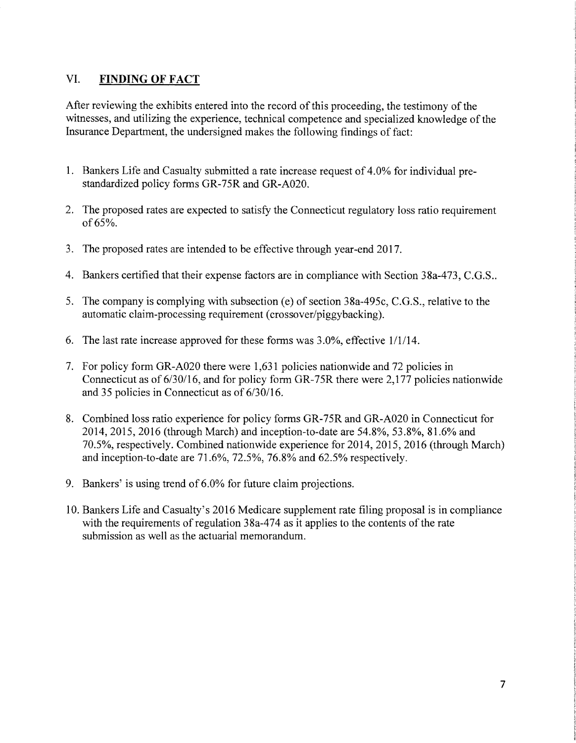## VI. **FINDING OF FACT**

After reviewing the exhibits entered into the record of this proceeding, the testimony of the witnesses, and utilizing the experience, technical competence and specialized knowledge of the Insurance Department, the undersigned makes the following findings of fact:

- 1. Bankers Life and Casualty submitted a rate increase request of 4.0% for individual prestandardized policy forms GR-75R and GR-A020.
- 2. The proposed rates are expected to satisfy the Connecticut regulatory loss ratio requirement of 65%.
- 3. The proposed rates are intended to be effective through year-end 2017.
- 4. Bankers certified that their expense factors are in compliance with Section 38a-473, C.G.S..
- 5. The company is complying with subsection (e) of section 38a-495c, C.G.S., relative to the automatic claim-processing requirement (crossover/piggybacking).
- 6. The last rate increase approved for these forms was  $3.0\%$ , effective  $1/1/14$ .
- 7. For policy form GR-A020 there were 1,631 policies nationwide and 72 policies in Connecticut as of 6/30/16, and for policy form GR-75R there were 2,177 policies nationwide and 35 policies in Connecticut as of 6/30/16.
- 8. Combined loss ratio experience for policy forms GR-75R and GR-A020 in Connecticut for 2014, 2015, 2016 (through March) and inception-to-date are 54.8%, 53.8%, 81.6% and 70.5%, respectively. Combined nationwide experience for 2014, 2015, 2016 (through March) and inception-to-date are 71.6%, 72.5%, 76.8% and 62.5% respectively.
- 9. Bankers' is using trend of 6.0% for future claim projections.
- 10. Bankers Life and Casualty's 2016 Medicare supplement rate filing proposal is in compliance with the requirements of regulation  $38a-474$  as it applies to the contents of the rate submission as well as the actuarial memorandum.